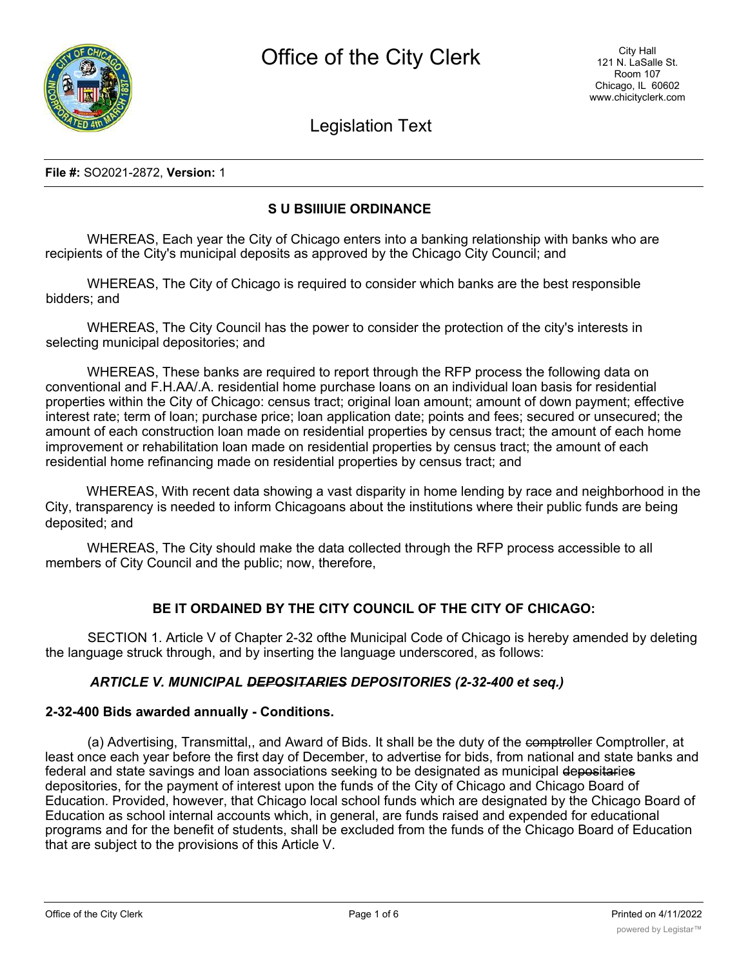

Legislation Text

#### **File #:** SO2021-2872, **Version:** 1

# **S U BSIIIUIE ORDINANCE**

WHEREAS, Each year the City of Chicago enters into a banking relationship with banks who are recipients of the City's municipal deposits as approved by the Chicago City Council; and

WHEREAS, The City of Chicago is required to consider which banks are the best responsible bidders; and

WHEREAS, The City Council has the power to consider the protection of the city's interests in selecting municipal depositories; and

WHEREAS, These banks are required to report through the RFP process the following data on conventional and F.H.AA/.A. residential home purchase loans on an individual loan basis for residential properties within the City of Chicago: census tract; original loan amount; amount of down payment; effective interest rate; term of loan; purchase price; loan application date; points and fees; secured or unsecured; the amount of each construction loan made on residential properties by census tract; the amount of each home improvement or rehabilitation loan made on residential properties by census tract; the amount of each residential home refinancing made on residential properties by census tract; and

WHEREAS, With recent data showing a vast disparity in home lending by race and neighborhood in the City, transparency is needed to inform Chicagoans about the institutions where their public funds are being deposited; and

WHEREAS, The City should make the data collected through the RFP process accessible to all members of City Council and the public; now, therefore,

## **BE IT ORDAINED BY THE CITY COUNCIL OF THE CITY OF CHICAGO:**

SECTION 1. Article V of Chapter 2-32 ofthe Municipal Code of Chicago is hereby amended by deleting the language struck through, and by inserting the language underscored, as follows:

### *ARTICLE V. MUNICIPAL DEPOSITARIES DEPOSITORIES (2-32-400 et seq.)*

### **2-32-400 Bids awarded annually - Conditions.**

(a) Advertising, Transmittal,, and Award of Bids. It shall be the duty of the comptroller Comptroller, at least once each year before the first day of December, to advertise for bids, from national and state banks and federal and state savings and loan associations seeking to be designated as municipal depositaries depositories, for the payment of interest upon the funds of the City of Chicago and Chicago Board of Education. Provided, however, that Chicago local school funds which are designated by the Chicago Board of Education as school internal accounts which, in general, are funds raised and expended for educational programs and for the benefit of students, shall be excluded from the funds of the Chicago Board of Education that are subject to the provisions of this Article V.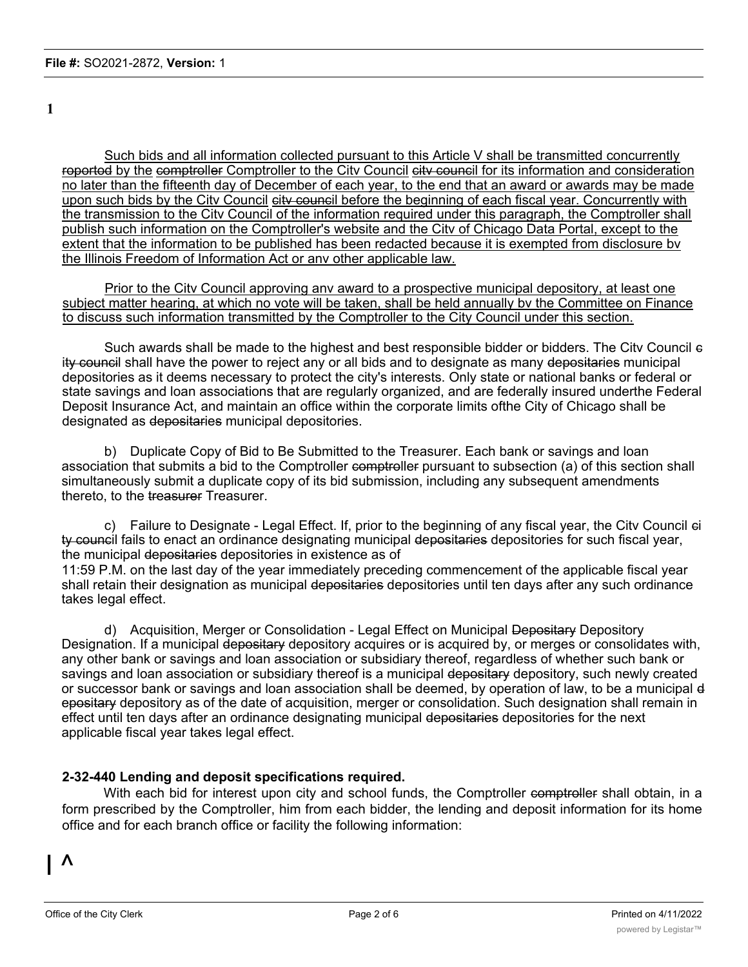**1**

Such bids and all information collected pursuant to this Article V shall be transmitted concurrently roportod by the comptroller Comptroller to the City Council city council for its information and consideration no later than the fifteenth day of December of each year, to the end that an award or awards may be made upon such bids by the City Council eity council before the beginning of each fiscal year. Concurrently with the transmission to the Citv Council of the information required under this paragraph, the Comptroller shall publish such information on the Comptroller's website and the Citv of Chicago Data Portal, except to the extent that the information to be published has been redacted because it is exempted from disclosure bv the Illinois Freedom of Information Act or anv other applicable law.

Prior to the City Council approving any award to a prospective municipal depository, at least one subject matter hearing, at which no vote will be taken, shall be held annually bv the Committee on Finance to discuss such information transmitted by the Comptroller to the City Council under this section.

Such awards shall be made to the highest and best responsible bidder or bidders. The Citv Council c ity council shall have the power to reject any or all bids and to designate as many depositaries municipal depositories as it deems necessary to protect the city's interests. Only state or national banks or federal or state savings and loan associations that are regularly organized, and are federally insured underthe Federal Deposit Insurance Act, and maintain an office within the corporate limits ofthe City of Chicago shall be designated as depositaries municipal depositories.

b) Duplicate Copy of Bid to Be Submitted to the Treasurer. Each bank or savings and loan association that submits a bid to the Comptroller comptroller pursuant to subsection (a) of this section shall simultaneously submit a duplicate copy of its bid submission, including any subsequent amendments thereto, to the treasurer Treasurer.

c) Failure to Designate - Legal Effect. If, prior to the beginning of any fiscal year, the Citv Council ci ty council fails to enact an ordinance designating municipal depositaries depositories for such fiscal year, the municipal depositaries depositories in existence as of

11:59 P.M. on the last day of the year immediately preceding commencement of the applicable fiscal year shall retain their designation as municipal depositaries depositories until ten days after any such ordinance takes legal effect.

d) Acquisition, Merger or Consolidation - Legal Effect on Municipal Depositary Depository Designation. If a municipal depositary depository acquires or is acquired by, or merges or consolidates with, any other bank or savings and loan association or subsidiary thereof, regardless of whether such bank or savings and loan association or subsidiary thereof is a municipal depositary depository, such newly created or successor bank or savings and loan association shall be deemed, by operation of law, to be a municipal d epositary depository as of the date of acquisition, merger or consolidation. Such designation shall remain in effect until ten days after an ordinance designating municipal depositaries depositories for the next applicable fiscal year takes legal effect.

## **2-32-440 Lending and deposit specifications required.**

With each bid for interest upon city and school funds, the Comptroller comptroller shall obtain, in a form prescribed by the Comptroller, him from each bidder, the lending and deposit information for its home office and for each branch office or facility the following information: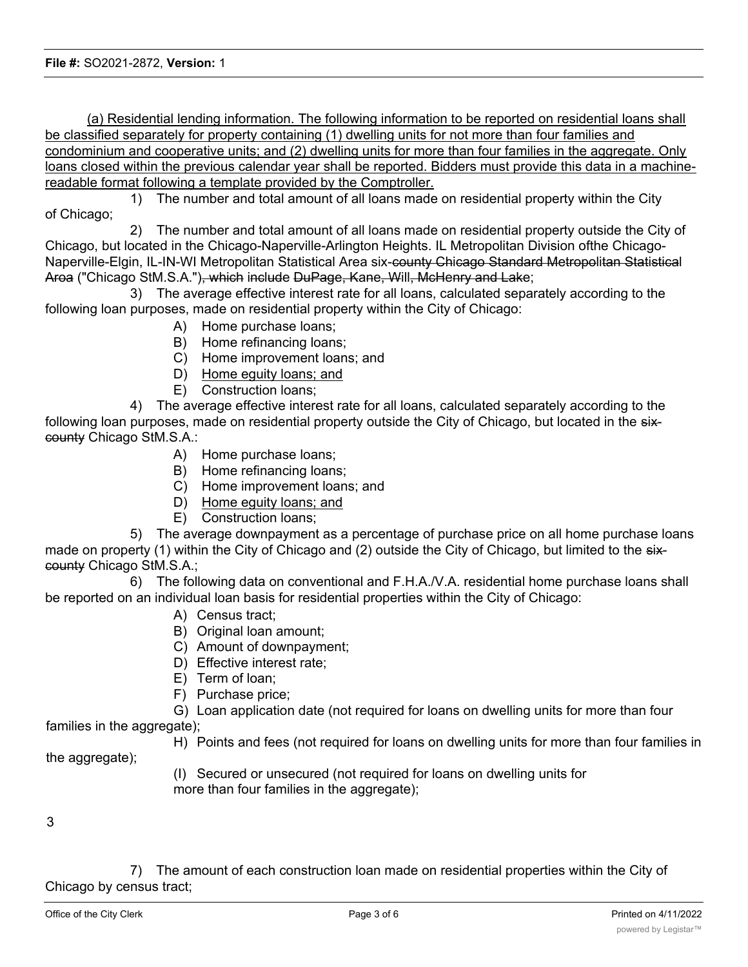(a) Residential lending information. The following information to be reported on residential loans shall be classified separately for property containing (1) dwelling units for not more than four families and condominium and cooperative units; and (2) dwelling units for more than four families in the aggregate. Only loans closed within the previous calendar year shall be reported. Bidders must provide this data in a machinereadable format following a template provided by the Comptroller.

1) The number and total amount of all loans made on residential property within the City of Chicago;

2) The number and total amount of all loans made on residential property outside the City of Chicago, but located in the Chicago-Naperville-Arlington Heights. IL Metropolitan Division ofthe Chicago-Naperville-Elgin, IL-IN-WI Metropolitan Statistical Area six-county Chicago Standard Metropolitan Statistical Aroa ("Chicago StM.S.A."), which include DuPage, Kane, Will, McHenry and Lake;

3) The average effective interest rate for all loans, calculated separately according to the following loan purposes, made on residential property within the City of Chicago:

- A) Home purchase loans;
- B) Home refinancing loans;
- C) Home improvement loans; and
- D) Home eguity loans; and
- E) Construction loans;

4) The average effective interest rate for all loans, calculated separately according to the following loan purposes, made on residential property outside the City of Chicago, but located in the sixcounty Chicago StM.S.A.:

- A) Home purchase loans;
- B) Home refinancing loans;
- C) Home improvement loans; and
- D) Home eguity loans; and
- E) Construction loans;

5) The average downpayment as a percentage of purchase price on all home purchase loans made on property (1) within the City of Chicago and (2) outside the City of Chicago, but limited to the sixcounty Chicago StM.S.A.;

6) The following data on conventional and F.H.A./V.A. residential home purchase loans shall be reported on an individual loan basis for residential properties within the City of Chicago:

- A) Census tract;
- B) Original loan amount;
- C) Amount of downpayment;
- D) Effective interest rate;
- E) Term of loan;
- F) Purchase price;

G) Loan application date (not required for loans on dwelling units for more than four families in the aggregate);

H) Points and fees (not required for loans on dwelling units for more than four families in

the aggregate);

(I) Secured or unsecured (not required for loans on dwelling units for more than four families in the aggregate);

### 3

7) The amount of each construction loan made on residential properties within the City of Chicago by census tract;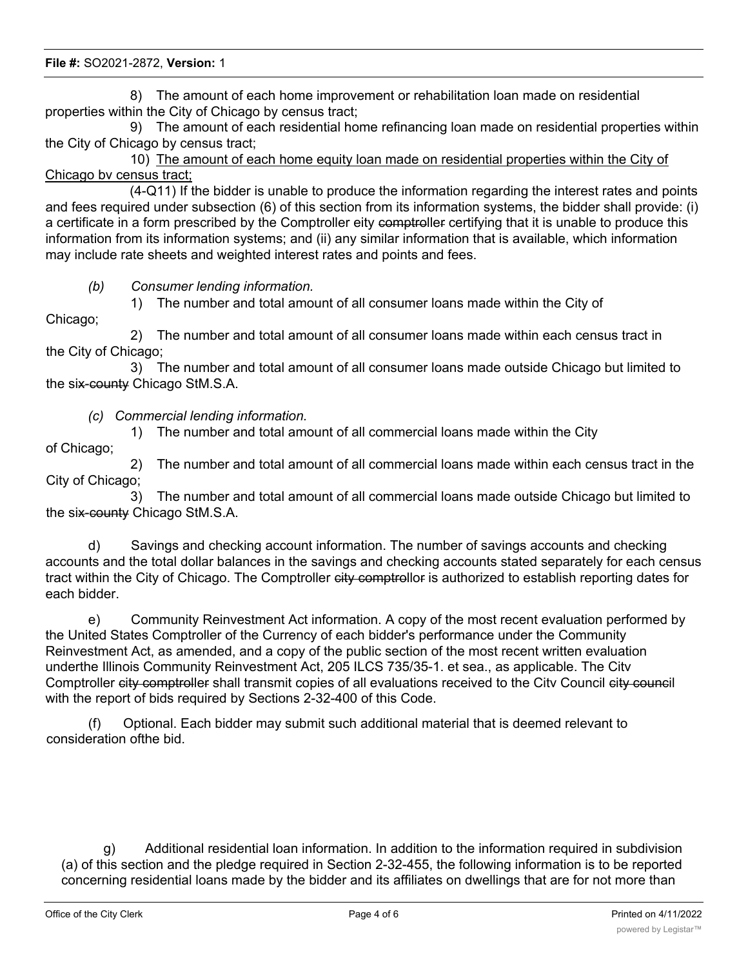8) The amount of each home improvement or rehabilitation loan made on residential properties within the City of Chicago by census tract;

9) The amount of each residential home refinancing loan made on residential properties within the City of Chicago by census tract;

10) The amount of each home equity loan made on residential properties within the City of Chicago bv census tract;

(4-Q11) If the bidder is unable to produce the information regarding the interest rates and points and fees required under subsection (6) of this section from its information systems, the bidder shall provide: (i) a certificate in a form prescribed by the Comptroller eity comptroller certifying that it is unable to produce this information from its information systems; and (ii) any similar information that is available, which information may include rate sheets and weighted interest rates and points and fees.

*(b) Consumer lending information.*

1) The number and total amount of all consumer loans made within the City of

Chicago;

2) The number and total amount of all consumer loans made within each census tract in the City of Chicago;

3) The number and total amount of all consumer loans made outside Chicago but limited to the six-county Chicago StM.S.A.

*(c) Commercial lending information.*

1) The number and total amount of all commercial loans made within the City

of Chicago;

2) The number and total amount of all commercial loans made within each census tract in the City of Chicago;

3) The number and total amount of all commercial loans made outside Chicago but limited to the six-county Chicago StM.S.A.

d) Savings and checking account information. The number of savings accounts and checking accounts and the total dollar balances in the savings and checking accounts stated separately for each census tract within the City of Chicago. The Comptroller city comptrollor is authorized to establish reporting dates for each bidder.

e) Community Reinvestment Act information. A copy of the most recent evaluation performed by the United States Comptroller of the Currency of each bidder's performance under the Community Reinvestment Act, as amended, and a copy of the public section of the most recent written evaluation underthe Illinois Community Reinvestment Act, 205 ILCS 735/35-1. et sea., as applicable. The Citv Comptroller city comptroller shall transmit copies of all evaluations received to the City Council city council with the report of bids required by Sections 2-32-400 of this Code.

(f) Optional. Each bidder may submit such additional material that is deemed relevant to consideration ofthe bid.

g) Additional residential loan information. In addition to the information required in subdivision (a) of this section and the pledge required in Section 2-32-455, the following information is to be reported concerning residential loans made by the bidder and its affiliates on dwellings that are for not more than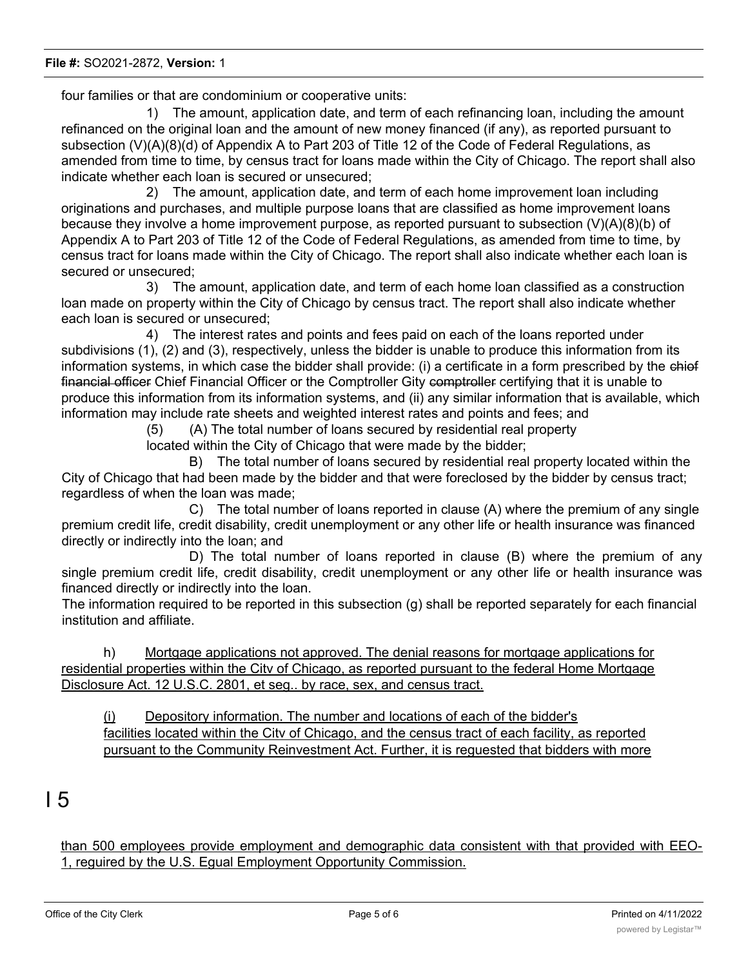four families or that are condominium or cooperative units:

1) The amount, application date, and term of each refinancing loan, including the amount refinanced on the original loan and the amount of new money financed (if any), as reported pursuant to subsection (V)(A)(8)(d) of Appendix A to Part 203 of Title 12 of the Code of Federal Regulations, as amended from time to time, by census tract for loans made within the City of Chicago. The report shall also indicate whether each loan is secured or unsecured;

2) The amount, application date, and term of each home improvement loan including originations and purchases, and multiple purpose loans that are classified as home improvement loans because they involve a home improvement purpose, as reported pursuant to subsection (V)(A)(8)(b) of Appendix A to Part 203 of Title 12 of the Code of Federal Regulations, as amended from time to time, by census tract for loans made within the City of Chicago. The report shall also indicate whether each loan is secured or unsecured;

3) The amount, application date, and term of each home loan classified as a construction loan made on property within the City of Chicago by census tract. The report shall also indicate whether each loan is secured or unsecured;

4) The interest rates and points and fees paid on each of the loans reported under subdivisions (1), (2) and (3), respectively, unless the bidder is unable to produce this information from its information systems, in which case the bidder shall provide: (i) a certificate in a form prescribed by the chiof financial officer Chief Financial Officer or the Comptroller Gity comptroller certifying that it is unable to produce this information from its information systems, and (ii) any similar information that is available, which information may include rate sheets and weighted interest rates and points and fees; and

(5) (A) The total number of loans secured by residential real property

located within the City of Chicago that were made by the bidder;

B) The total number of loans secured by residential real property located within the City of Chicago that had been made by the bidder and that were foreclosed by the bidder by census tract; regardless of when the loan was made;

C) The total number of loans reported in clause (A) where the premium of any single premium credit life, credit disability, credit unemployment or any other life or health insurance was financed directly or indirectly into the loan; and

D) The total number of loans reported in clause (B) where the premium of any single premium credit life, credit disability, credit unemployment or any other life or health insurance was financed directly or indirectly into the loan.

The information required to be reported in this subsection (g) shall be reported separately for each financial institution and affiliate.

h) Mortgage applications not approved. The denial reasons for mortgage applications for residential properties within the Citv of Chicago, as reported pursuant to the federal Home Mortgage Disclosure Act. 12 U.S.C. 2801, et seg.. by race, sex, and census tract.

(i) Depository information. The number and locations of each of the bidder's facilities located within the Citv of Chicago, and the census tract of each facility, as reported pursuant to the Community Reinvestment Act. Further, it is reguested that bidders with more

I 5

than 500 employees provide employment and demographic data consistent with that provided with EEO-1, reguired by the U.S. Egual Employment Opportunity Commission.